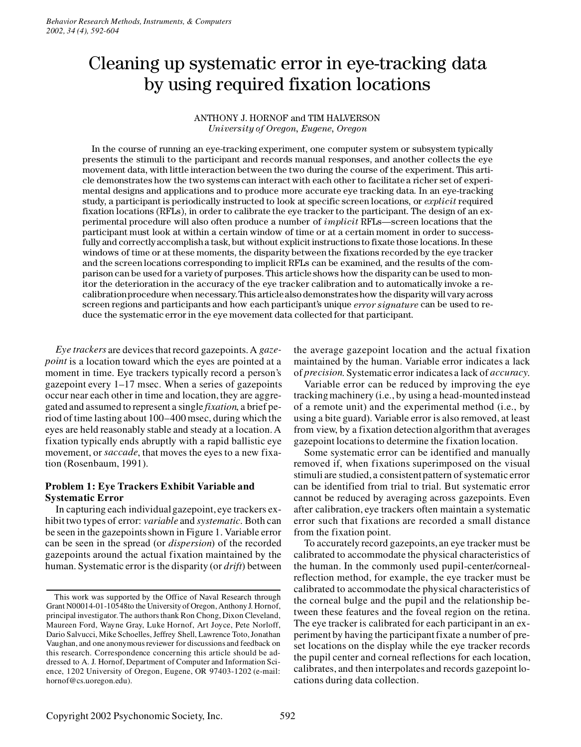# Cleaning up systematic error in eye-tracking data by using required fixation locations

# ANTHONY J. HORNOF and TIM HALVERSON *University of Oregon, Eugene, Oregon*

In the course of running an eye-tracking experiment, one computer system or subsystem typically presents the stimuli to the participant and records manual responses, and another collects the eye movement data, with little interaction between the two during the course of the experiment. This article demonstrates how the two systems can interact with each other to facilitate a richer set of experimental designs and applications and to produce more accurate eye tracking data. In an eye-tracking study, a participant is periodically instructed to look at specific screen locations, or *explicit* required fixation locations (RFLs), in order to calibrate the eye tracker to the participant. The design of an ex perimental procedure will also often produce a number of *implicit* RFLs—screen locations that the participant must look at within a certain window of time or at a certain moment in order to successfully and correctly accomplish a task, but without explicit instructions to fixate those locations. In these windows of time or at these moments, the disparity between the fixations recorded by the eye tracker and the screen locations corresponding to implicit RFLs can be examined, and the results of the com parison can be used for a variety of purposes. This article shows how the disparity can be used to monitor the deterioration in the accuracy of the eye tracker calibration and to automatically invoke a re calibration procedure when necessary. This article also demonstrates how the disparity will vary across screen regions and participants and how each participant's unique *error signature* can be used to re duce the systematic error in the eye movement data collected for that participant.

*Eye trackers* are devices that record gazepoints. A *gazepoint* is a location toward which the eyes are pointed at a moment in time. Eye trackers typically record a person's gazepoint every 1–17 msec. When a series of gazepoints occur near each other in time and location, they are aggregated and assumed to represent a single *fixation*, a brief period of time lasting about 100–400 msec, during which the eyes are held reasonably stable and steady at a location. A fixation typically ends abruptly with a rapid ballistic eye movement, or *saccade*, that moves the eyes to a new fixation (Rosenbaum, 1991).

## **Problem 1: Eye Trackers Exhibit Variable and Systematic Error**

In capturing each individual gazepoint, eye trackers exhibit two types of error: *variable* and *systematic*. Both can be seen in the gazepoints shown in Figure 1. Variable error can be seen in the spread (or *dispersion*) of the recorded gazepoints around the actual fixation maintained by the human. Systematic error is the disparity (or *drift*) between

the average gazepoint location and the actual fixation maintained by the human. Variable error indicates a lack of *precision*. Systematic error indicates a lack of *accuracy*.

Variable error can be reduced by improving the eye tracking machinery (i.e., by using a head-mounted instead of a remote unit) and the experimental method (i.e., by using a bite guard). Variable error is also removed, at least from view, by a fixation detection algorithm that averages gazepoint locations to determine the fixation location.

Some systematic error can be identified and manually removed if, when fixations superimposed on the visual stimuli are studied, a consistent pattern of systematic error can be identified from trial to trial. But systematic error cannot be reduced by averaging across gazepoints. Even after calibration, eye trackers often maintain a systematic error such that fixations are recorded a small distance from the fixation point.

To accurately record gazepoints, an eye tracker must be calibrated to accommodate the physical characteristics of the human. In the commonly used pupil-center/cornealreflection method, for example, the eye tracker must be calibrated to accommodate the physical characteristics of the corneal bulge and the pupil and the relationship between these features and the foveal region on the retina. The eye tracker is calibrated for each participant in an experiment by having the participant fixate a number of preset locations on the display while the eye tracker records the pupil center and corneal reflections for each location, calibrates, and then interpolates and records gazepoint locations during data collection.

This work was supported by the Office of Naval Research through Grant N00014-01-10548 to the University of Oregon, Anthony J. Hornof, principal investigator. The authors thank Ron Chong, Dixon Cleveland, Maureen Ford, Wayne Gray, Luke Hornof, Art Joyce, Pete Norloff, Dario Salvucci, Mike Schoelles, Jeffrey Shell, Lawrence Toto, Jonathan Vaughan, and one anonymous reviewer for discussions and feedback on this research. Correspondence concerning this article should be addressed to A. J. Hornof, Department of Computer and Information Science, 1202 University of Oregon, Eugene, OR 97403-1202 (e-mail: hornof@cs.uoregon.edu).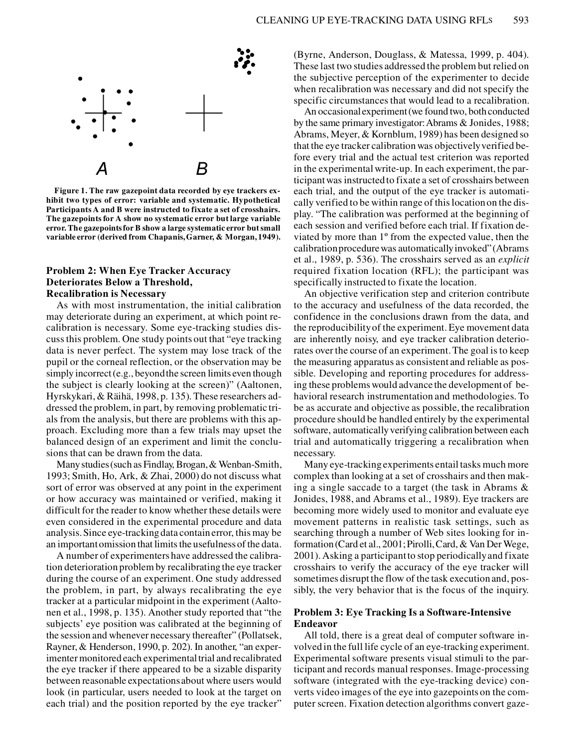

**Figure 1. The raw gazepoint data recorded by eye trackers ex hibit two types of error: variable and systematic. Hypothetical Participants A and B were instructed to fixate a set of crosshairs. The gazepoints for A show no systematic error but large variable error. The gazepoints for B show a large systematic error but small variable error (derived from Chapanis, Garner, & Morgan, 1949).**

#### **Problem 2: When Eye Tracker Accuracy Deteriorates Below a Threshold, Recalibration is Necessary**

As with most instrumentation, the initial calibration may deteriorate during an experiment, at which point recalibration is necessary. Some eye-tracking studies discuss this problem. One study points out that "eye tracking data is never perfect. The system may lose track of the pupil or the corneal reflection, or the observation may be simply incorrect (e.g., beyond the screen limits even though the subject is clearly looking at the screen)" (Aaltonen, Hyrskykari, & Räihä, 1998, p. 135). These researchers addressed the problem, in part, by removing problematic trials from the analysis, but there are problems with this approach. Excluding more than a few trials may upset the balanced design of an experiment and limit the conclusions that can be drawn from the data.

Many studies (such as Findlay, Brogan, & Wenban-Smith, 1993; Smith, Ho, Ark, & Zhai, 2000) do not discuss what sort of error was observed at any point in the experiment or how accuracy was maintained or verified, making it difficult for the reader to know whether these details were even considered in the experimental procedure and data analysis. Since eye-tracking data contain error, this may be an important omission that limits the usefulness of the data.

A number of experimenters have addressed the calibration deterioration problem by recalibrating the eye tracker during the course of an experiment. One study addressed the problem, in part, by always recalibrating the eye tracker at a particular midpoint in the experiment (Aaltonen et al., 1998, p. 135). Another study reported that "the subjects' eye position was calibrated at the beginning of the session and whenever necessary thereafter" (Pollatsek, Rayner, & Henderson, 1990, p. 202). In another, "an experimenter monitored each experimental trial and recalibrated the eye tracker if there appeared to be a sizable disparity between reasonable expectations about where users would look (in particular, users needed to look at the target on each trial) and the position reported by the eye tracker"

(Byrne, Anderson, Douglass, & Matessa, 1999, p. 404). These last two studies addressed the problem but relied on the subjective perception of the experimenter to decide when recalibration was necessary and did not specify the specific circumstances that would lead to a recalibration.

An occasional experiment (we found two, both conducted by the same primary investigator: Abrams & Jonides, 1988; Abrams, Meyer, & Kornblum, 1989) has been designed so that the eye tracker calibration was objectively verified before every trial and the actual test criterion was reported in the experimental write-up. In each experiment, the participant was instructed to fixate a set of crosshairs between each trial, and the output of the eye tracker is automatically verified to be within range of this location on the display. "The calibration was performed at the beginning of each session and verified before each trial. If fixation deviated by more than 1º from the expected value, then the calibration procedure was automatically invoked"(Abrams et al., 1989, p. 536). The crosshairs served as an *explicit* required fixation location (RFL); the participant was specifically instructed to fixate the location.

An objective verification step and criterion contribute to the accuracy and usefulness of the data recorded, the confidence in the conclusions drawn from the data, and the reproducibility of the experiment. Eye movement data are inherently noisy, and eye tracker calibration deteriorates over the course of an experiment. The goal is to keep the measuring apparatus as consistent and reliable as possible. Developing and reporting procedures for addressing these problems would advance the development of behavioral research instrumentation and methodologies. To be as accurate and objective as possible, the recalibration procedure should be handled entirely by the experimental software, automatically verifying calibration between each trial and automatically triggering a recalibration when

necessary. Many eye-tracking experiments entail tasks much more complex than looking at a set of crosshairs and then making a single saccade to a target (the task in Abrams & Jonides, 1988, and Abrams et al., 1989). Eye trackers are becoming more widely used to monitor and evaluate eye movement patterns in realistic task settings, such as searching through a number of Web sites looking for information (Card et al., 2001; Pirolli, Card, & Van Der Wege, 2001). Asking a participant to stop periodically and fixate crosshairs to verify the accuracy of the eye tracker will sometimes disrupt the flow of the task execution and, possibly, the very behavior that is the focus of the inquiry.

## **Problem 3: Eye Tracking Is a Software-Intensive Endeavor**

All told, there is a great deal of computer software involved in the full life cycle of an eye-tracking experiment. Experimental software presents visual stimuli to the participant and records manual responses. Image-processing software (integrated with the eye-tracking device) converts video images of the eye into gazepoints on the computer screen. Fixation detection algorithms convert gaze-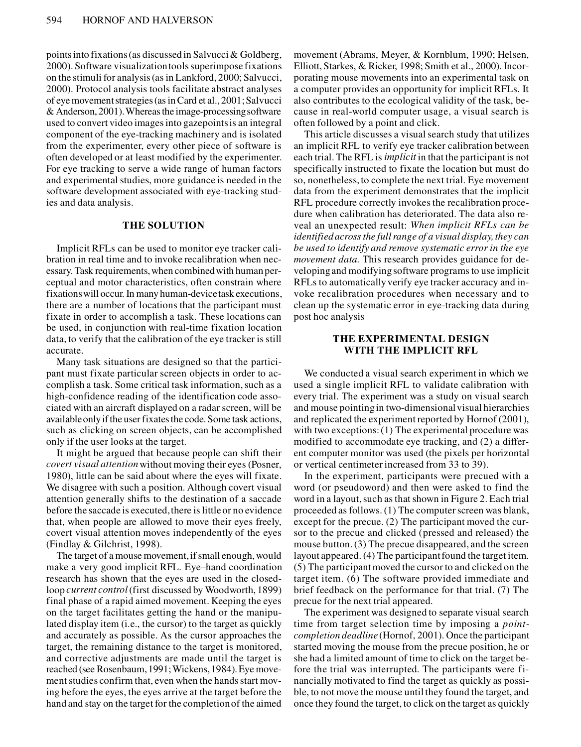points into fixations (as discussed in Salvucci & Goldberg, 2000). Software visualization tools superimpose fixations on the stimuli for analysis (as in Lankford, 2000; Salvucci, 2000). Protocol analysis tools facilitate abstract analyses of eye movement strategies (as in Card et al., 2001; Salvucci & Anderson, 2001). Whereas the image-processing software used to convert video images into gazepoints is an integral component of the eye-tracking machinery and is isolated from the experimenter, every other piece of software is often developed or at least modified by the experimenter. For eye tracking to serve a wide range of human factors and experimental studies, more guidance is needed in the software development associated with eye-tracking studies and data analysis.

#### **THE SOLUTION**

Implicit RFLs can be used to monitor eye tracker calibration in real time and to invoke recalibration when necessary. Task requirements, when combined with human perceptual and motor characteristics, often constrain where fixations will occur. In many human-device task executions, there are a number of locations that the participant must fixate in order to accomplish a task. These locations can be used, in conjunction with real-time fixation location data, to verify that the calibration of the eye tracker is still accurate.

Many task situations are designed so that the participant must fixate particular screen objects in order to accomplish a task. Some critical task information, such as a high-confidence reading of the identification code associated with an aircraft displayed on a radar screen, will be available only if the user fixates the code. Some task actions, such as clicking on screen objects, can be accomplished only if the user looks at the target.

It might be argued that because people can shift their *covert visual attention*without moving their eyes (Posner, 1980), little can be said about where the eyes will fixate. We disagree with such a position. Although covert visual attention generally shifts to the destination of a saccade before the saccade is executed, there is little or no evidence that, when people are allowed to move their eyes freely, covert visual attention moves independently of the eyes (Findlay & Gilchrist, 1998).

The target of a mouse movement, if small enough, would make a very good implicit RFL. Eye–hand coordination research has shown that the eyes are used in the closedloop *current control*(first discussed by Woodworth, 1899) final phase of a rapid aimed movement. Keeping the eyes on the target facilitates getting the hand or the manipulated display item (i.e., the cursor) to the target as quickly and accurately as possible. As the cursor approaches the target, the remaining distance to the target is monitored, and corrective adjustments are made until the target is reached (see Rosenbaum, 1991; Wickens, 1984). Eye movement studies confirm that, even when the hands start moving before the eyes, the eyes arrive at the target before the hand and stay on the target for the completion of the aimed

movement (Abrams, Meyer, & Kornblum, 1990; Helsen, Elliott, Starkes, & Ricker, 1998; Smith et al., 2000). Incorporating mouse movements into an experimental task on a computer provides an opportunity for implicit RFLs. It also contributes to the ecological validity of the task, because in real-world computer usage, a visual search is often followed by a point and click.

This article discusses a visual search study that utilizes an implicit RFL to verify eye tracker calibration between each trial. The RFL is *implicit* in that the participant is not specifically instructed to fixate the location but must do so, nonetheless, to complete the next trial. Eye movement data from the experiment demonstrates that the implicit RFL procedure correctly invokes the recalibration procedure when calibration has deteriorated. The data also reveal an unexpected result: *When implicit RFLs can be identified across the full range of a visual display, they can be used to identify and remove systematic error in the eye movement data*. This research provides guidance for developing and modifying software programs to use implicit RFLs to automatically verify eye tracker accuracy and invoke recalibration procedures when necessary and to clean up the systematic error in eye-tracking data during post hoc analysis

## **THE EXPERIMENTAL DESIGN WITH THE IMPLICIT RFL**

We conducted a visual search experiment in which we used a single implicit RFL to validate calibration with every trial. The experiment was a study on visual search and mouse pointing in two-dimensional visual hierarchies and replicated the experiment reported by Hornof (2001), with two exceptions: (1) The experimental procedure was modified to accommodate eye tracking, and (2) a different computer monitor was used (the pixels per horizontal or vertical centimeter increased from 33 to 39).

In the experiment, participants were precued with a word (or pseudoword) and then were asked to find the word in a layout, such as that shown in Figure 2. Each trial proceeded as follows. (1) The computer screen was blank, except for the precue. (2) The participant moved the cursor to the precue and clicked (pressed and released) the mouse button. (3) The precue disappeared, and the screen layout appeared. (4) The participant found the target item. (5) The participant moved the cursor to and clicked on the target item. (6) The software provided immediate and brief feedback on the performance for that trial. (7) The precue for the next trial appeared.

The experiment was designed to separate visual search time from target selection time by imposing a *pointcompletion deadline* (Hornof, 2001). Once the participant started moving the mouse from the precue position, he or she had a limited amount of time to click on the target before the trial was interrupted. The participants were financially motivated to find the target as quickly as possible, to not move the mouse until they found the target, and once they found the target, to click on the target as quickly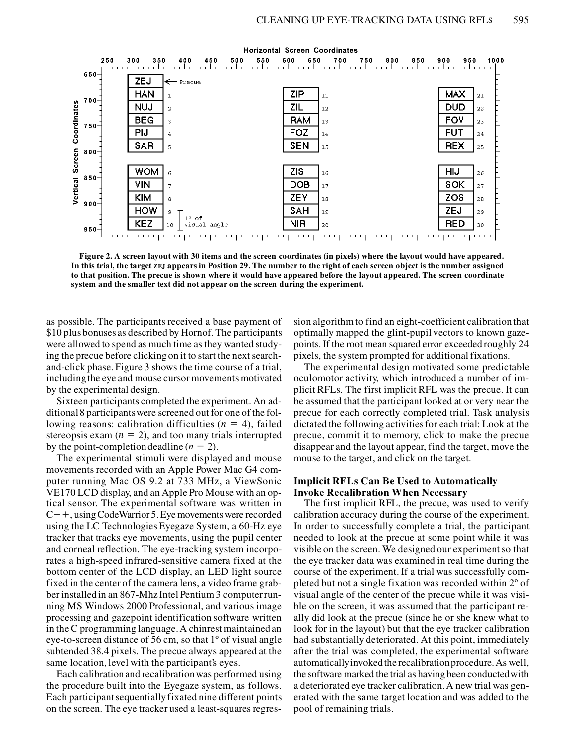

**Figure 2. A screen layout with 30 items and the screen coordinates (in pixels) where the layout would have appeared. In this trial, the target ZEJ appears in Position 29. The number to the right of each screen object is the number assigned to that position. The precue is shown where it would have appeared before the layout appeared. The screen coordinate system and the smaller text did not appear on the screen during the experiment.**

as possible. The participants received a base payment of \$10 plus bonuses as described by Hornof. The participants were allowed to spend as much time as they wanted studying the precue before clicking on it to start the next searchand-click phase. Figure 3 shows the time course of a trial, including the eye and mouse cursor movements motivated by the experimental design.

Sixteen participants completed the experiment. An additional 8 participants were screened out for one of the following reasons: calibration difficulties  $(n = 4)$ , failed stereopsis exam  $(n = 2)$ , and too many trials interrupted by the point-completion deadline  $(n = 2)$ .

The experimental stimuli were displayed and mouse movements recorded with an Apple Power Mac G4 computer running Mac OS 9.2 at 733 MHz, a ViewSonic VE170 LCD display, and an Apple Pro Mouse with an optical sensor. The experimental software was written in  $C++$ , using CodeWarrior 5. Eye movements were recorded using the LC Technologies Eyegaze System, a 60-Hz eye tracker that tracks eye movements, using the pupil center and corneal reflection. The eye-tracking system incorporates a high-speed infrared-sensitive camera fixed at the bottom center of the LCD display, an LED light source fixed in the center of the camera lens, a video frame grabber installed in an 867-Mhz Intel Pentium 3 computer running MS Windows 2000 Professional, and various image processing and gazepoint identification software written in the C programming language. A chinrest maintained an eye-to-screen distance of 56 cm, so that 1º of visual angle subtended 38.4 pixels. The precue always appeared at the same location, level with the participant's eyes.

Each calibration and recalibration was performed using the procedure built into the Eyegaze system, as follows. Each participant sequentially fixated nine different points on the screen. The eye tracker used a least-squares regres-

sion algorithm to find an eight-coefficient calibration that optimally mapped the glint-pupil vectors to known gazepoints. If the root mean squared error exceeded roughly 24 pixels, the system prompted for additional fixations.

The experimental design motivated some predictable oculomotor activity, which introduced a number of implicit RFLs. The first implicit RFL was the precue. It can be assumed that the participant looked at or very near the precue for each correctly completed trial. Task analysis dictated the following activities for each trial: Look at the precue, commit it to memory, click to make the precue disappear and the layout appear, find the target, move the mouse to the target, and click on the target.

## **Implicit RFLs Can Be Used to Automatically Invoke Recalibration When Necessary**

The first implicit RFL, the precue, was used to verify calibration accuracy during the course of the experiment. In order to successfully complete a trial, the participant needed to look at the precue at some point while it was visible on the screen. We designed our experiment so that the eye tracker data was examined in real time during the course of the experiment. If a trial was successfully completed but not a single fixation was recorded within 2º of visual angle of the center of the precue while it was visible on the screen, it was assumed that the participant really did look at the precue (since he or she knew what to look for in the layout) but that the eye tracker calibration had substantially deteriorated. At this point, immediately after the trial was completed, the experimental software automatically invoked the recalibration procedure. As well, the software marked the trial as having been conducted with a deteriorated eye tracker calibration. A new trial was generated with the same target location and was added to the pool of remaining trials.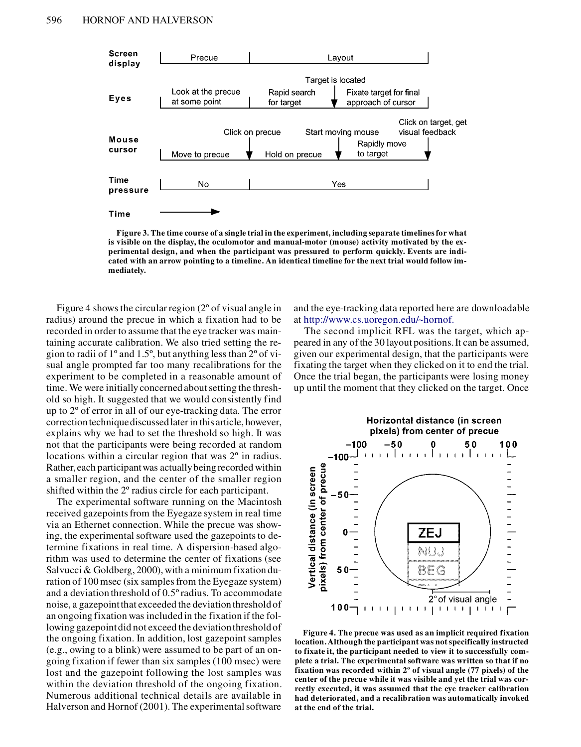

**Figure 3. The time course of a single trial in the experiment, including separate timelines for what is visible on the display, the oculomotor and manual-motor (mouse) activity motivated by the ex perimental design, and when the participant was pressured to perform quickly. Events are indicated with an arrow pointing to a timeline. An identical timeline for the next trial would follow im mediately.**

Figure 4 shows the circular region (2º of visual angle in radius) around the precue in which a fixation had to be recorded in order to assume that the eye tracker was maintaining accurate calibration. We also tried setting the region to radii of  $1^\circ$  and  $1.5^\circ$ , but anything less than  $2^\circ$  of visual angle prompted far too many recalibrations for the experiment to be completed in a reasonable amount of time. We were initially concerned about setting the threshold so high. It suggested that we would consistently find up to 2º of error in all of our eye-tracking data. The error correction technique discussed later in this article, however, explains why we had to set the threshold so high. It was not that the participants were being recorded at random locations within a circular region that was  $2^{\circ}$  in radius. Rather, each participant was actually being recorded within a smaller region, and the center of the smaller region shifted within the 2º radius circle for each participant.

The experimental software running on the Macintosh received gazepoints from the Eyegaze system in real time via an Ethernet connection. While the precue was showing, the experimental software used the gazepoints to determine fixations in real time. A dispersion-based algorithm was used to determine the center of fixations (see Salvucci & Goldberg, 2000), with a minimum fixation duration of 100 msec (six samples from the Eyegaze system) and a deviation threshold of 0.5º radius. To accommodate noise, a gazepoint that exceeded the deviation threshold of an ongoing fixation was included in the fixation if the following gazepoint did not exceed the deviation threshold of the ongoing fixation. In addition, lost gazepoint samples (e.g., owing to a blink) were assumed to be part of an ongoing fixation if fewer than six samples (100 msec) were lost and the gazepoint following the lost samples was within the deviation threshold of the ongoing fixation. Numerous additional technical details are available in Halverson and Hornof (2001). The experimental software and the eye-tracking data reported here are downloadable at [http://www.cs.uoregon.edu/~hornof.](http://www.cs.uoregon.edu/%7Ehornof)

The second implicit RFL was the target, which appeared in any of the 30 layout positions. It can be assumed, given our experimental design, that the participants were fixating the target when they clicked on it to end the trial. Once the trial began, the participants were losing money up until the moment that they clicked on the target. Once



**Figure 4. The precue was used as an implicit required fixation location. Although the participant was not specifically instructed to fixate it, the participant needed to view it to successfully com plete a trial. The experimental software was written so that if no fixation was recorded within 2º of visual angle (77 pixels) of the center of the precue while it was visible and yet the trial was cor rectly executed, it was assumed that the eye tracker calibration had deteriorated, and a recalibration was automatically invoked at the end of the trial.**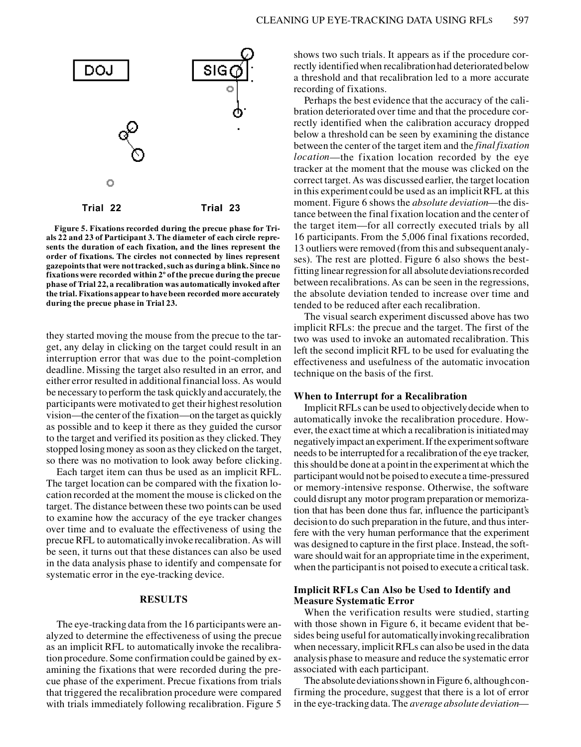

**Figure 5. Fixations recorded during the precue phase for Trials 22 and 23 of Participant 3. The diameter of each circle represents the duration of each fixation, and the lines represent the order of fixations. The circles not connected by lines represent gazepoints that were not tracked, such as during a blink. Since no fixations were recorded within 2º of the precue during the precue phase of Trial 22, a recalibration was automatically invoked after the trial. Fixations appear to have been recorded more accurately during the precue phase in Trial 23.**

they started moving the mouse from the precue to the target, any delay in clicking on the target could result in an interruption error that was due to the point-completion deadline. Missing the target also resulted in an error, and either error resulted in additional financial loss. As would be necessary to perform the task quickly and accurately, the participants were motivated to get their highest resolution vision—the center of the fixation—on the target as quickly as possible and to keep it there as they guided the cursor to the target and verified its position as they clicked. They stopped losing money as soon as they clicked on the target, so there was no motivation to look away before clicking.

Each target item can thus be used as an implicit RFL. The target location can be compared with the fixation location recorded at the moment the mouse is clicked on the target. The distance between these two points can be used to examine how the accuracy of the eye tracker changes over time and to evaluate the effectiveness of using the precue RFL to automatically invoke recalibration. As will be seen, it turns out that these distances can also be used in the data analysis phase to identify and compensate for systematic error in the eye-tracking device.

## **RESULTS**

The eye-tracking data from the 16 participants were analyzed to determine the effectiveness of using the precue as an implicit RFL to automatically invoke the recalibration procedure. Some confirmation could be gained by examining the fixations that were recorded during the precue phase of the experiment. Precue fixations from trials that triggered the recalibration procedure were compared with trials immediately following recalibration. Figure 5 shows two such trials. It appears as if the procedure correctly identified when recalibration had deteriorated below a threshold and that recalibration led to a more accurate recording of fixations.

Perhaps the best evidence that the accuracy of the calibration deteriorated over time and that the procedure correctly identified when the calibration accuracy dropped below a threshold can be seen by examining the distance between the center of the target item and the *final fixation location*—the fixation location recorded by the eye tracker at the moment that the mouse was clicked on the correct target. As was discussed earlier, the target location in this experiment could be used as an implicit RFL at this moment. Figure 6 shows the *absolute deviation*—the distance between the final fixation location and the center of the target item—for all correctly executed trials by all 16 participants. From the 5,006 final fixations recorded, 13 outliers were removed (from this and subsequent analyses). The rest are plotted. Figure 6 also shows the bestfitting linear regression for all absolute deviations recorded between recalibrations. As can be seen in the regressions, the absolute deviation tended to increase over time and tended to be reduced after each recalibration.

The visual search experiment discussed above has two implicit RFLs: the precue and the target. The first of the two was used to invoke an automated recalibration. This left the second implicit RFL to be used for evaluating the effectiveness and usefulness of the automatic invocation technique on the basis of the first.

#### **When to Interrupt for a Recalibration**

Implicit RFLs can be used to objectively decide when to automatically invoke the recalibration procedure. However, the exact time at which a recalibration is initiated may negatively impact an experiment. If the experiment software needs to be interrupted for a recalibration of the eye tracker, this should be done at a point in the experiment at which the participant would not be poised to execute a time-pressured or memory-intensive response. Otherwise, the software could disrupt any motor program preparation or memorization that has been done thus far, influence the participant's decision to do such preparation in the future, and thus interfere with the very human performance that the experiment was designed to capture in the first place. Instead, the software should wait for an appropriate time in the experiment, when the participant is not poised to execute a critical task.

### **Implicit RFLs Can Also be Used to Identify and Measure Systematic Error**

When the verification results were studied, starting with those shown in Figure 6, it became evident that besides being useful for automatically invoking recalibration when necessary, implicit RFLs can also be used in the data analysis phase to measure and reduce the systematic error associated with each participant.

The absolute deviations shown in Figure 6, although confirming the procedure, suggest that there is a lot of error in the eye-tracking data. The *average absolute deviation*—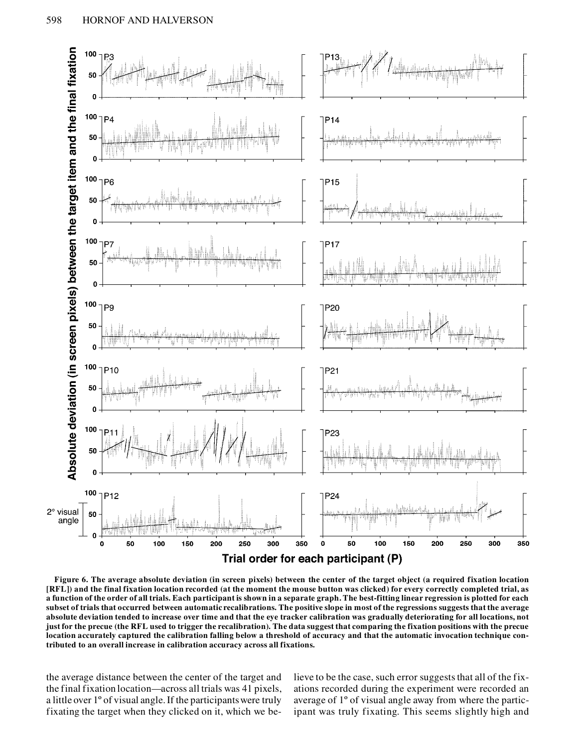

**Figure 6. The average absolute deviation (in screen pixels) between the center of the target object (a required fixation location [RFL]) and the final fixation location recorded (at the moment the mouse button was clicked) for every correctly completed trial, as a function of the order of all trials. Each participant is shown in a separate graph. The best-fitting linear regression is plotted for each subset of trials that occurred between automatic recalibrations. The positive slope in most of the regressions suggests that the average absolute deviation tended to increase over time and that the eye tracker calibration was gradually deteriorating for all locations, not just for the precue (the RFL used to trigger the recalibration). The data suggest that comparing the fixation positions with the precue location accurately captured the calibration falling below a threshold of accuracy and that the automatic invocation technique contributed to an overall increase in calibration accuracy across all fixations.**

the average distance between the center of the target and the final fixation location—across all trials was 41 pixels, a little over 1º of visual angle. If the participants were truly fixating the target when they clicked on it, which we believe to be the case, such error suggests that all of the fixations recorded during the experiment were recorded an average of 1º of visual angle away from where the participant was truly fixating. This seems slightly high and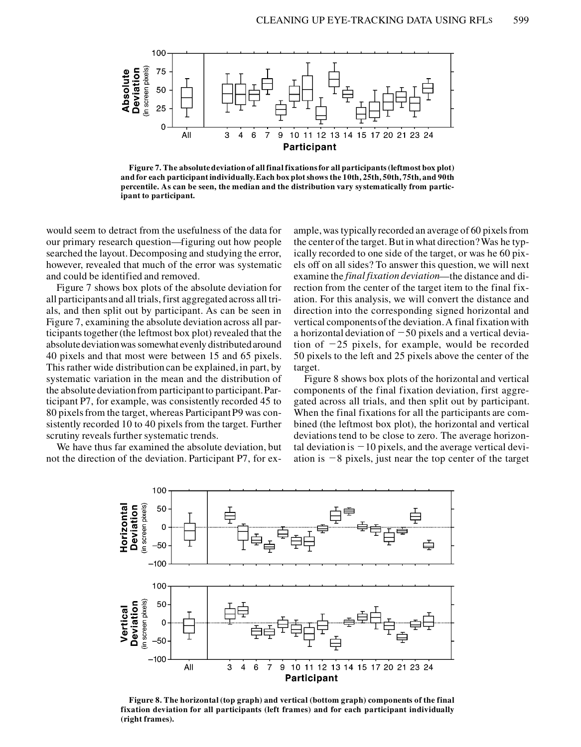

**Figure 7. The absolute deviation of all final fixations for all participants(leftmost box plot) and for each participant individually. Each box plot shows the 10th, 25th, 50th, 75th, and 90th percentile. As can be seen, the median and the distribution vary systematically from participant to participant.**

would seem to detract from the usefulness of the data for our primary research question—figuring out how people searched the layout. Decomposing and studying the error, however, revealed that much of the error was systematic and could be identified and removed.

Figure 7 shows box plots of the absolute deviation for all participants and all trials, first aggregated across all trials, and then split out by participant. As can be seen in Figure 7, examining the absolute deviation across all participants together (the leftmost box plot) revealed that the absolute deviation was somewhat evenly distributed around 40 pixels and that most were between 15 and 65 pixels. This rather wide distribution can be explained, in part, by systematic variation in the mean and the distribution of the absolute deviation from participant to participant. Participant P7, for example, was consistently recorded 45 to 80 pixels from the target, whereas Participant P9 was consistently recorded 10 to 40 pixels from the target. Further scrutiny reveals further systematic trends.

We have thus far examined the absolute deviation, but not the direction of the deviation. Participant P7, for ex-

ample, was typically recorded an average of 60 pixels from the center of the target. But in what direction? Was he typically recorded to one side of the target, or was he 60 pixels off on all sides? To answer this question, we will next examine the *final fixation deviation*—the distance and direction from the center of the target item to the final fixation. For this analysis, we will convert the distance and direction into the corresponding signed horizontal and vertical components of the deviation. A final fixation with a horizontal deviation of  $-50$  pixels and a vertical deviation of  $-25$  pixels, for example, would be recorded 50 pixels to the left and 25 pixels above the center of the target.

Figure 8 shows box plots of the horizontal and vertical components of the final fixation deviation, first aggregated across all trials, and then split out by participant. When the final fixations for all the participants are combined (the leftmost box plot), the horizontal and vertical deviations tend to be close to zero. The average horizontal deviation is  $-10$  pixels, and the average vertical deviation is  $-8$  pixels, just near the top center of the target



**Figure 8. The horizontal (top graph) and vertical (bottom graph) components of the final fixation deviation for all participants (left frames) and for each participant individually (right frames).**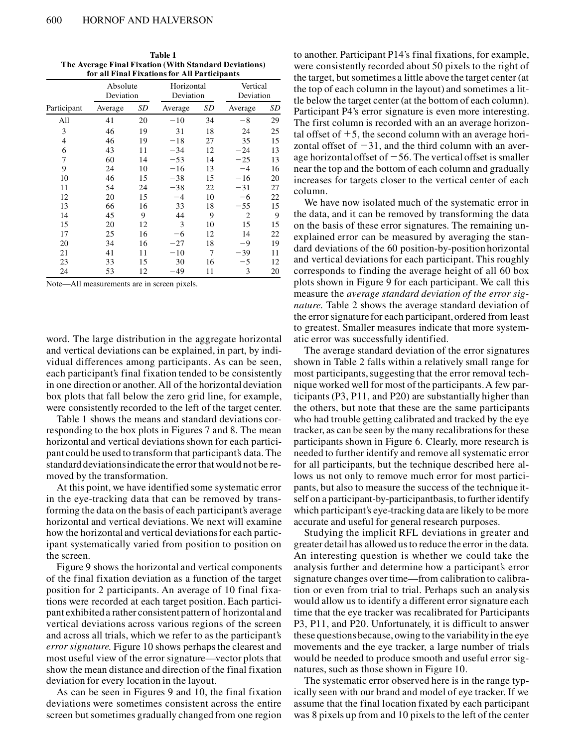| Participant    | Absolute<br>Deviation |    | Horizontal<br>Deviation |    | Vertical<br>Deviation |    |
|----------------|-----------------------|----|-------------------------|----|-----------------------|----|
|                | Average               | SD | Average                 | SD | Average               | SD |
| All            | 41                    | 20 | $-10$                   | 34 | $-8$                  | 29 |
| 3              | 46                    | 19 | 31                      | 18 | 24                    | 25 |
| $\overline{4}$ | 46                    | 19 | $-18$                   | 27 | 35                    | 15 |
| 6              | 43                    | 11 | $-34$                   | 12 | $-24$                 | 13 |
| 7              | 60                    | 14 | $-53$                   | 14 | $-25$                 | 13 |
| 9              | 24                    | 10 | $-16$                   | 13 | $-4$                  | 16 |
| 10             | 46                    | 15 | $-38$                   | 15 | $-16$                 | 20 |
| 11             | 54                    | 24 | $-38$                   | 22 | $-31$                 | 27 |
| 12             | 20                    | 15 | $-4$                    | 10 | -6                    | 22 |
| 13             | 66                    | 16 | 33                      | 18 | $-55$                 | 15 |
| 14             | 45                    | 9  | 44                      | 9  | $\overline{2}$        | 9  |
| 15             | 20                    | 12 | 3                       | 10 | 15                    | 15 |
| 17             | 25                    | 16 | -6                      | 12 | 14                    | 22 |
| 20             | 34                    | 16 | $-27$                   | 18 | -9                    | 19 |
| 21             | 41                    | 11 | $-10$                   | 7  | $-39$                 | 11 |
| 23             | 33                    | 15 | 30                      | 16 | $-5$                  | 12 |
| 24             | 53                    | 12 | $-49$                   | 11 | 3                     | 20 |

**Table 1 The Average Final Fixation (With Standard Deviations) for all Final Fixations for All Participants**

Note—All measurements are in screen pixels.

word. The large distribution in the aggregate horizontal and vertical deviations can be explained, in part, by individual differences among participants. As can be seen, each participant's final fixation tended to be consistently in one direction or another. All of the horizontal deviation box plots that fall below the zero grid line, for example, were consistently recorded to the left of the target center.

Table 1 shows the means and standard deviations corresponding to the box plots in Figures 7 and 8. The mean horizontal and vertical deviations shown for each participant could be used to transform that participant's data. The standard deviations indicate the error that would not be removed by the transformation.

At this point, we have identified some systematic error in the eye-tracking data that can be removed by transforming the data on the basis of each participant's average horizontal and vertical deviations. We next will examine how the horizontal and vertical deviations for each participant systematically varied from position to position on the screen.

Figure 9 shows the horizontal and vertical components of the final fixation deviation as a function of the target position for 2 participants. An average of 10 final fixations were recorded at each target position. Each participant exhibited a rather consistent pattern of horizontal and vertical deviations across various regions of the screen and across all trials, which we refer to as the participant's *error signature*. Figure 10 shows perhaps the clearest and most useful view of the error signature—vector plots that show the mean distance and direction of the final fixation deviation for every location in the layout.

As can be seen in Figures 9 and 10, the final fixation deviations were sometimes consistent across the entire screen but sometimes gradually changed from one region

to another. Participant P14's final fixations, for example, were consistently recorded about 50 pixels to the right of the target, but sometimes a little above the target center (at the top of each column in the layout) and sometimes a little below the target center (at the bottom of each column). Participant P4's error signature is even more interesting. The first column is recorded with an an average horizontal offset of  $+5$ , the second column with an average horizontal offset of  $-31$ , and the third column with an average horizontal offset of  $-56$ . The vertical offset is smaller near the top and the bottom of each column and gradually increases for targets closer to the vertical center of each column.

We have now isolated much of the systematic error in the data, and it can be removed by transforming the data on the basis of these error signatures. The remaining unexplained error can be measured by averaging the standard deviations of the 60 position-by-position horizontal and vertical deviations for each participant. This roughly corresponds to finding the average height of all 60 box plots shown in Figure 9 for each participant. We call this measure the *average standard deviation of the error signature*. Table 2 shows the average standard deviation of the error signature for each participant, ordered from least to greatest. Smaller measures indicate that more systematic error was successfully identified.

The average standard deviation of the error signatures shown in Table 2 falls within a relatively small range for most participants, suggesting that the error removal technique worked well for most of the participants. A few participants (P3, P11, and P20) are substantially higher than the others, but note that these are the same participants who had trouble getting calibrated and tracked by the eye tracker, as can be seen by the many recalibrations for these participants shown in Figure 6. Clearly, more research is needed to further identify and remove all systematic error for all participants, but the technique described here allows us not only to remove much error for most participants, but also to measure the success of the technique itself on a participant-by-participant basis, to further identify which participant's eye-tracking data are likely to be more accurate and useful for general research purposes.

Studying the implicit RFL deviations in greater and greater detail has allowed us to reduce the error in the data. An interesting question is whether we could take the analysis further and determine how a participant's error signature changes over time—from calibration to calibration or even from trial to trial. Perhaps such an analysis would allow us to identify a different error signature each time that the eye tracker was recalibrated for Participants P3, P11, and P20. Unfortunately, it is difficult to answer these questions because, owing to the variability in the eye movements and the eye tracker, a large number of trials would be needed to produce smooth and useful error signatures, such as those shown in Figure 10.

The systematic error observed here is in the range typically seen with our brand and model of eye tracker. If we assume that the final location fixated by each participant was 8 pixels up from and 10 pixels to the left of the center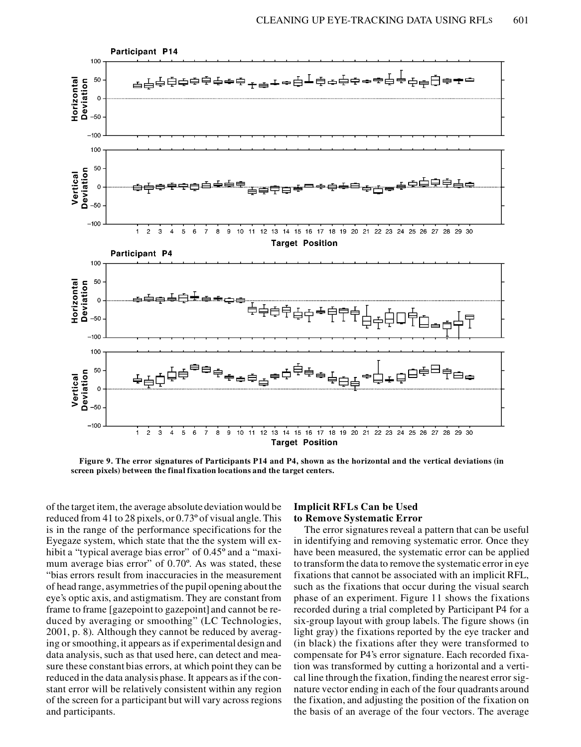

**Figure 9. The error signatures of Participants P14 and P4, shown as the horizontal and the vertical deviations (in screen pixels) between the final fixation locations and the target centers.**

of the target item, the average absolute deviation would be reduced from 41 to 28 pixels, or 0.73º of visual angle. This is in the range of the performance specifications for the Eyegaze system, which state that the the system will exhibit a "typical average bias error" of 0.45° and a "maximum average bias error" of 0.70º. As was stated, these "bias errors result from inaccuracies in the measurement of head range, asymmetries of the pupil opening about the eye's optic axis, and astigmatism. They are constant from frame to frame [gazepoint to gazepoint] and cannot be reduced by averaging or smoothing" (LC Technologies, 2001, p. 8). Although they cannot be reduced by averaging or smoothing, it appears as if experimental design and data analysis, such as that used here, can detect and measure these constant bias errors, at which point they can be reduced in the data analysis phase. It appears as if the constant error will be relatively consistent within any region of the screen for a participant but will vary across regions and participants.

#### **Implicit RFLs Can be Used to Remove Systematic Error**

The error signatures reveal a pattern that can be useful in identifying and removing systematic error. Once they have been measured, the systematic error can be applied to transform the data to remove the systematic error in eye fixations that cannot be associated with an implicit RFL, such as the fixations that occur during the visual search phase of an experiment. Figure 11 shows the fixations recorded during a trial completed by Participant P4 for a six-group layout with group labels. The figure shows (in light gray) the fixations reported by the eye tracker and (in black) the fixations after they were transformed to compensate for P4's error signature. Each recorded fixation was transformed by cutting a horizontal and a vertical line through the fixation, finding the nearest error signature vector ending in each of the four quadrants around the fixation, and adjusting the position of the fixation on the basis of an average of the four vectors. The average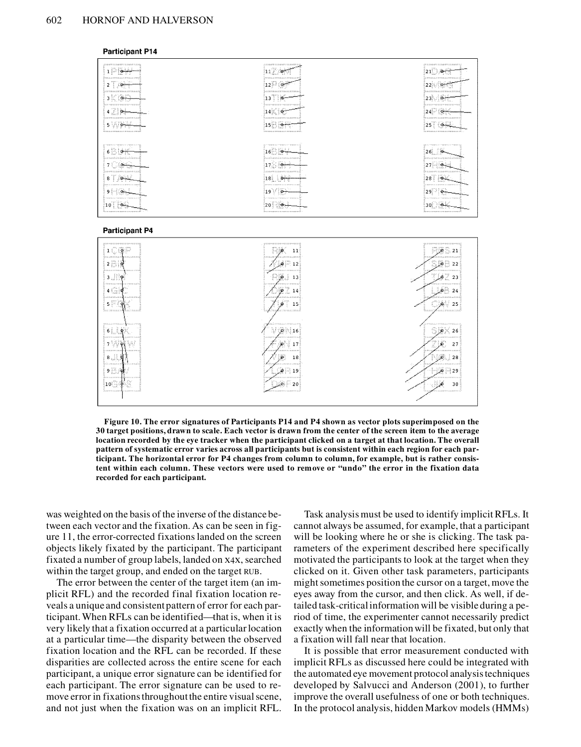

**Figure 10. The error signatures of Participants P14 and P4 shown as vector plots superimposed on the 30 target positions, drawn to scale. Each vector is drawn from the center of the screen item to the average location recorded by the eye tracker when the participant clicked on a target at that location. The overall pattern of systematic error varies across all participants but is consistent within each region for each participant. The horizontal error for P4 changes from column to column, for example, but is rather consistent within each column. These vectors were used to remove or "undo" the error in the fixation data recorded for each participant.**

was weighted on the basis of the inverse of the distance between each vector and the fixation. As can be seen in figure 11, the error-corrected fixations landed on the screen objects likely fixated by the participant. The participant fixated a number of group labels, landed on x4x, searched within the target group, and ended on the target RUB.

The error between the center of the target item (an implicit RFL) and the recorded final fixation location reveals a unique and consistent pattern of error for each participant. When RFLs can be identified—that is, when it is very likely that a fixation occurred at a particular location at a particular time—the disparity between the observed fixation location and the RFL can be recorded. If these disparities are collected across the entire scene for each participant, a unique error signature can be identified for each participant. The error signature can be used to remove error in fixations throughout the entire visual scene, and not just when the fixation was on an implicit RFL.

Task analysis must be used to identify implicit RFLs. It cannot always be assumed, for example, that a participant will be looking where he or she is clicking. The task parameters of the experiment described here specifically motivated the participants to look at the target when they clicked on it. Given other task parameters, participants might sometimes position the cursor on a target, move the eyes away from the cursor, and then click. As well, if detailed task-critical information will be visible during a period of time, the experimenter cannot necessarily predict exactly when the information will be fixated, but only that a fixation will fall near that location.

It is possible that error measurement conducted with implicit RFLs as discussed here could be integrated with the automated eye movement protocol analysis techniques developed by Salvucci and Anderson (2001), to further improve the overall usefulness of one or both techniques. In the protocol analysis, hidden Markov models (HMMs)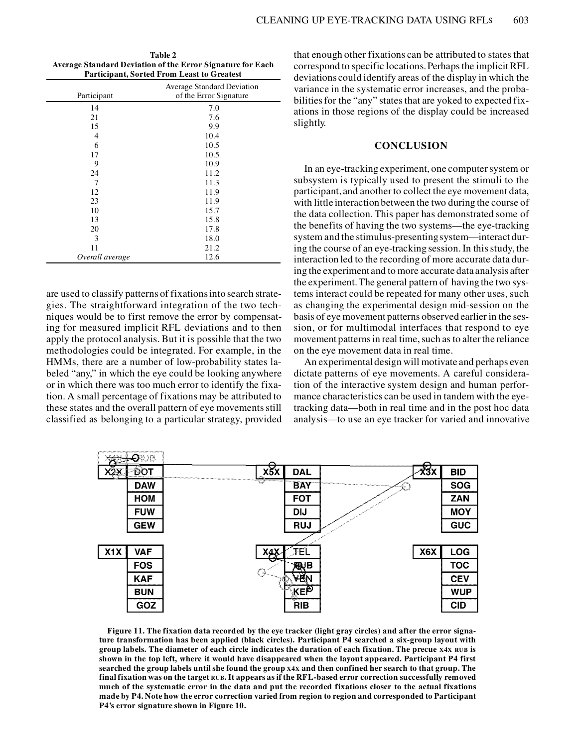| Table 2                                                    |  |  |  |  |  |
|------------------------------------------------------------|--|--|--|--|--|
| Average Standard Deviation of the Error Signature for Each |  |  |  |  |  |
| Participant, Sorted From Least to Greatest                 |  |  |  |  |  |

| Participant     | Average Standard Deviation<br>of the Error Signature |  |  |  |
|-----------------|------------------------------------------------------|--|--|--|
| 14              | 7.0                                                  |  |  |  |
| 21              | 7.6                                                  |  |  |  |
| 15              | 9.9                                                  |  |  |  |
| 4               | 10.4                                                 |  |  |  |
| 6               | 10.5                                                 |  |  |  |
| 17              | 10.5                                                 |  |  |  |
| 9               | 10.9                                                 |  |  |  |
| 24              | 11.2                                                 |  |  |  |
| 7               | 11.3                                                 |  |  |  |
| 12              | 11.9                                                 |  |  |  |
| 23              | 11.9                                                 |  |  |  |
| 10              | 15.7                                                 |  |  |  |
| 13              | 15.8                                                 |  |  |  |
| 20              | 17.8                                                 |  |  |  |
| 3               | 18.0                                                 |  |  |  |
| 11              | 21.2                                                 |  |  |  |
| Overall average | 12.6                                                 |  |  |  |

are used to classify patterns of fixations into search strategies. The straightforward integration of the two techniques would be to first remove the error by compensating for measured implicit RFL deviations and to then apply the protocol analysis. But it is possible that the two methodologies could be integrated. For example, in the HMMs, there are a number of low-probability states labeled "any," in which the eye could be looking anywhere or in which there was too much error to identify the fixation. A small percentage of fixations may be attributed to these states and the overall pattern of eye movements still classified as belonging to a particular strategy, provided

that enough other fixations can be attributed to states that correspond to specific locations. Perhaps the implicit RFL deviations could identify areas of the display in which the variance in the systematic error increases, and the probabilities for the "any" states that are yoked to expected fixations in those regions of the display could be increased slightly.

#### **CONCLUSION**

In an eye-tracking experiment, one computer system or subsystem is typically used to present the stimuli to the participant, and another to collect the eye movement data, with little interaction between the two during the course of the data collection. This paper has demonstrated some of the benefits of having the two systems—the eye-tracking system and the stimulus-presenting system—interact during the course of an eye-tracking session. In this study, the interaction led to the recording of more accurate data during the experiment and to more accurate data analysis after the experiment. The general pattern of having the two systems interact could be repeated for many other uses, such as changing the experimental design mid-session on the basis of eye movement patterns observed earlier in the session, or for multimodal interfaces that respond to eye movement patterns in real time, such as to alter the reliance on the eye movement data in real time.

An experimental design will motivate and perhaps even dictate patterns of eye movements. A careful consideration of the interactive system design and human performance characteristics can be used in tandem with the eyetracking data—both in real time and in the post hoc data analysis—to use an eye tracker for varied and innovative



**Figure 11. The fixation data recorded by the eye tracker (light gray circles) and after the error signature transformation has been applied (black circles). Participant P4 searched a six-group layout with group labels. The diameter of each circle indicates the duration of each fixation. The precue X4X RUB is shown in the top left, where it would have disappeared when the layout appeared. Participant P4 first searched the group labels until she found the group X4X and then confined her search to that group. The final fixation was on the target RUB. It appears as if the RFL-based error correction successfully removed much of the systematic error in the data and put the recorded fixations closer to the actual fixations made by P4. Note how the error correction varied from region to region and corresponded to Participant P4's error signature shown in Figure 10.**